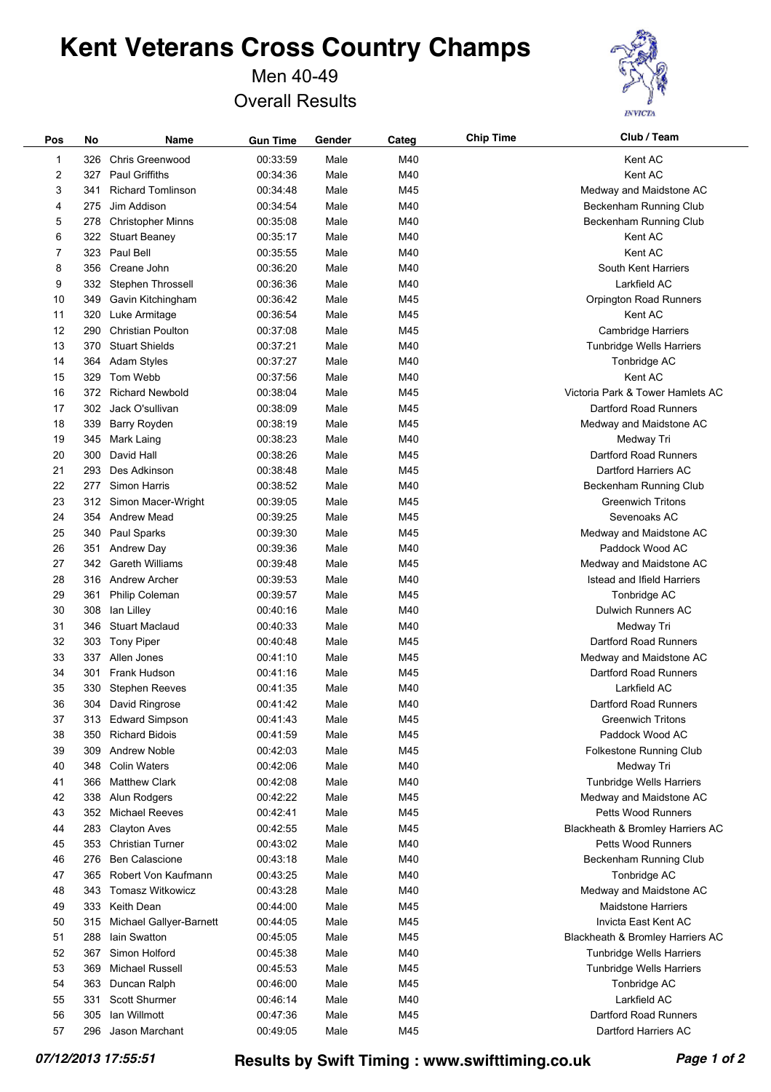Men 40-49 Overall Results



| Pos | No  | Name                     | <b>Gun Time</b> | Gender | Categ | <b>Chip Time</b> | Club / Team                         |
|-----|-----|--------------------------|-----------------|--------|-------|------------------|-------------------------------------|
| 1   | 326 | Chris Greenwood          | 00:33:59        | Male   | M40   |                  | Kent AC                             |
| 2   | 327 | Paul Griffiths           | 00:34:36        | Male   | M40   |                  | Kent AC                             |
| 3   | 341 | <b>Richard Tomlinson</b> | 00:34:48        | Male   | M45   |                  | Medway and Maidstone AC             |
| 4   | 275 | Jim Addison              | 00:34:54        | Male   | M40   |                  | Beckenham Running Club              |
| 5   | 278 | <b>Christopher Minns</b> | 00:35:08        | Male   | M40   |                  | Beckenham Running Club              |
| 6   | 322 | <b>Stuart Beaney</b>     | 00:35:17        | Male   | M40   |                  | Kent AC                             |
| 7   | 323 | Paul Bell                | 00:35:55        | Male   | M40   |                  | Kent AC                             |
| 8   | 356 | Creane John              | 00:36:20        | Male   | M40   |                  | South Kent Harriers                 |
| 9   | 332 | <b>Stephen Throssell</b> | 00:36:36        | Male   | M40   |                  | Larkfield AC                        |
| 10  | 349 | Gavin Kitchingham        | 00:36:42        | Male   | M45   |                  | Orpington Road Runners              |
| 11  | 320 | Luke Armitage            | 00:36:54        | Male   | M45   |                  | Kent AC                             |
| 12  | 290 | <b>Christian Poulton</b> | 00:37:08        | Male   | M45   |                  | Cambridge Harriers                  |
| 13  | 370 | <b>Stuart Shields</b>    | 00:37:21        | Male   | M40   |                  | Tunbridge Wells Harriers            |
| 14  | 364 | <b>Adam Styles</b>       | 00:37:27        | Male   | M40   |                  | Tonbridge AC                        |
| 15  | 329 | Tom Webb                 | 00:37:56        | Male   | M40   |                  | Kent AC                             |
| 16  | 372 | <b>Richard Newbold</b>   | 00:38:04        | Male   | M45   |                  | Victoria Park & Tower Hamlets AC    |
| 17  | 302 | Jack O'sullivan          | 00:38:09        | Male   | M45   |                  | Dartford Road Runners               |
| 18  | 339 | Barry Royden             | 00:38:19        | Male   | M45   |                  | Medway and Maidstone AC             |
| 19  |     |                          | 00:38:23        | Male   | M40   |                  |                                     |
| 20  | 345 | Mark Laing<br>David Hall | 00:38:26        | Male   | M45   |                  | Medway Tri<br>Dartford Road Runners |
|     | 300 | Des Adkinson             | 00:38:48        |        | M45   |                  |                                     |
| 21  | 293 |                          |                 | Male   |       |                  | Dartford Harriers AC                |
| 22  | 277 | Simon Harris             | 00:38:52        | Male   | M40   |                  | Beckenham Running Club              |
| 23  | 312 | Simon Macer-Wright       | 00:39:05        | Male   | M45   |                  | <b>Greenwich Tritons</b>            |
| 24  | 354 | <b>Andrew Mead</b>       | 00:39:25        | Male   | M45   |                  | Sevenoaks AC                        |
| 25  | 340 | Paul Sparks              | 00:39:30        | Male   | M45   |                  | Medway and Maidstone AC             |
| 26  | 351 | Andrew Day               | 00:39:36        | Male   | M40   |                  | Paddock Wood AC                     |
| 27  | 342 | <b>Gareth Williams</b>   | 00:39:48        | Male   | M45   |                  | Medway and Maidstone AC             |
| 28  | 316 | <b>Andrew Archer</b>     | 00:39:53        | Male   | M40   |                  | Istead and Ifield Harriers          |
| 29  | 361 | Philip Coleman           | 00:39:57        | Male   | M45   |                  | Tonbridge AC                        |
| 30  | 308 | lan Lilley               | 00:40:16        | Male   | M40   |                  | Dulwich Runners AC                  |
| 31  | 346 | <b>Stuart Maclaud</b>    | 00:40:33        | Male   | M40   |                  | Medway Tri                          |
| 32  | 303 | <b>Tony Piper</b>        | 00:40:48        | Male   | M45   |                  | Dartford Road Runners               |
| 33  | 337 | Allen Jones              | 00:41:10        | Male   | M45   |                  | Medway and Maidstone AC             |
| 34  | 301 | Frank Hudson             | 00:41:16        | Male   | M45   |                  | Dartford Road Runners               |
| 35  | 330 | <b>Stephen Reeves</b>    | 00:41:35        | Male   | M40   |                  | Larkfield AC                        |
| 36  | 304 | David Ringrose           | 00:41:42        | Male   | M40   |                  | Dartford Road Runners               |
| 37  | 313 | <b>Edward Simpson</b>    | 00:41:43        | Male   | M45   |                  | <b>Greenwich Tritons</b>            |
| 38  | 350 | <b>Richard Bidois</b>    | 00:41:59        | Male   | M45   |                  | Paddock Wood AC                     |
| 39  | 309 | <b>Andrew Noble</b>      | 00:42:03        | Male   | M45   |                  | Folkestone Running Club             |
| 40  | 348 | <b>Colin Waters</b>      | 00:42:06        | Male   | M40   |                  | Medway Tri                          |
| 41  | 366 | <b>Matthew Clark</b>     | 00:42:08        | Male   | M40   |                  | Tunbridge Wells Harriers            |
| 42  | 338 | Alun Rodgers             | 00:42:22        | Male   | M45   |                  | Medway and Maidstone AC             |
| 43  | 352 | <b>Michael Reeves</b>    | 00:42:41        | Male   | M45   |                  | <b>Petts Wood Runners</b>           |
| 44  | 283 | <b>Clayton Aves</b>      | 00:42:55        | Male   | M45   |                  | Blackheath & Bromley Harriers AC    |
| 45  | 353 | <b>Christian Turner</b>  | 00:43:02        | Male   | M40   |                  | <b>Petts Wood Runners</b>           |
| 46  | 276 | <b>Ben Calascione</b>    | 00:43:18        | Male   | M40   |                  | Beckenham Running Club              |
| 47  | 365 | Robert Von Kaufmann      | 00:43:25        | Male   | M40   |                  | Tonbridge AC                        |
| 48  | 343 | <b>Tomasz Witkowicz</b>  | 00:43:28        | Male   | M40   |                  | Medway and Maidstone AC             |
| 49  | 333 | Keith Dean               | 00:44:00        | Male   | M45   |                  | <b>Maidstone Harriers</b>           |
| 50  | 315 | Michael Gallyer-Barnett  | 00:44:05        | Male   | M45   |                  | Invicta East Kent AC                |
| 51  | 288 | lain Swatton             | 00:45:05        | Male   | M45   |                  | Blackheath & Bromley Harriers AC    |
| 52  | 367 | Simon Holford            | 00:45:38        | Male   | M40   |                  | <b>Tunbridge Wells Harriers</b>     |
| 53  | 369 | Michael Russell          | 00:45:53        | Male   | M45   |                  | <b>Tunbridge Wells Harriers</b>     |
| 54  | 363 | Duncan Ralph             | 00:46:00        | Male   | M45   |                  | Tonbridge AC                        |
| 55  | 331 | <b>Scott Shurmer</b>     | 00:46:14        | Male   | M40   |                  | Larkfield AC                        |
| 56  | 305 | lan Willmott             | 00:47:36        | Male   | M45   |                  | Dartford Road Runners               |
| 57  | 296 | Jason Marchant           | 00:49:05        | Male   | M45   |                  | Dartford Harriers AC                |
|     |     |                          |                 |        |       |                  |                                     |

*07/12/2013 17:55:51* **Results by Swift Timing : www.swifttiming.co.uk** *Page 1 of 2*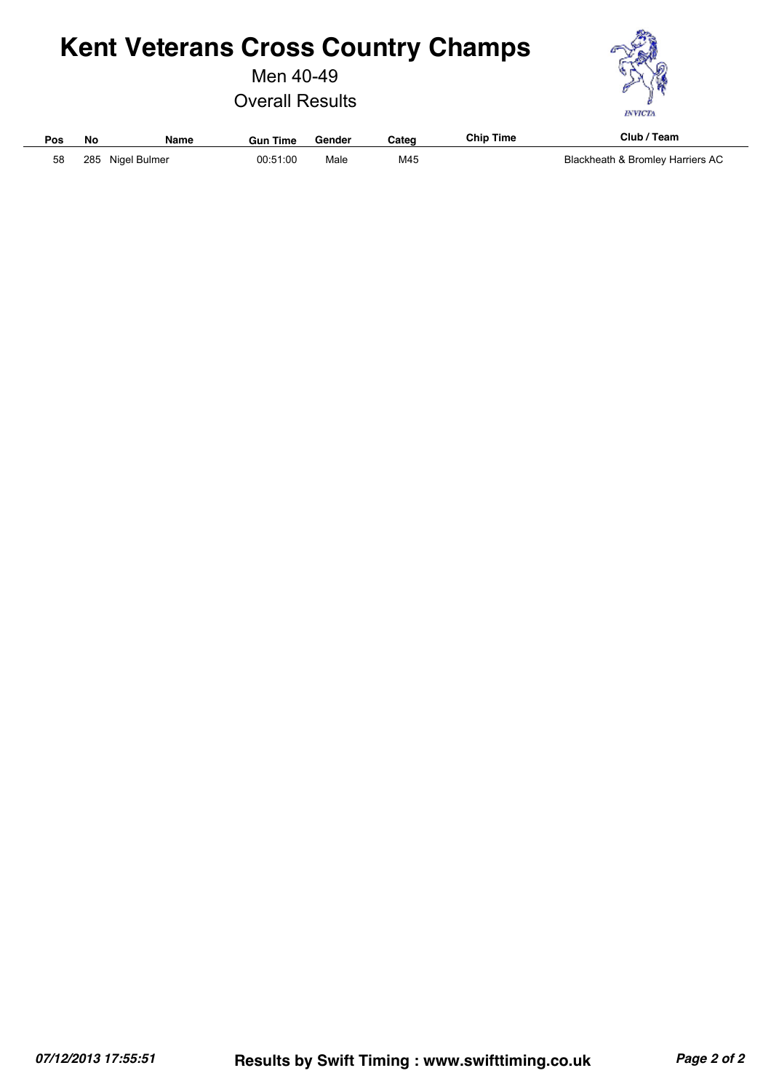Men 40-49

Overall Results



| Pos | No  | <b>Name</b>  | Gun Time | Gender | Cateq | Chip Time | Club<br>Team                     |
|-----|-----|--------------|----------|--------|-------|-----------|----------------------------------|
| 58  | 285 | Nigel Bulmer | 00:51:00 | Male   | M45   |           | Blackheath & Bromley Harriers AC |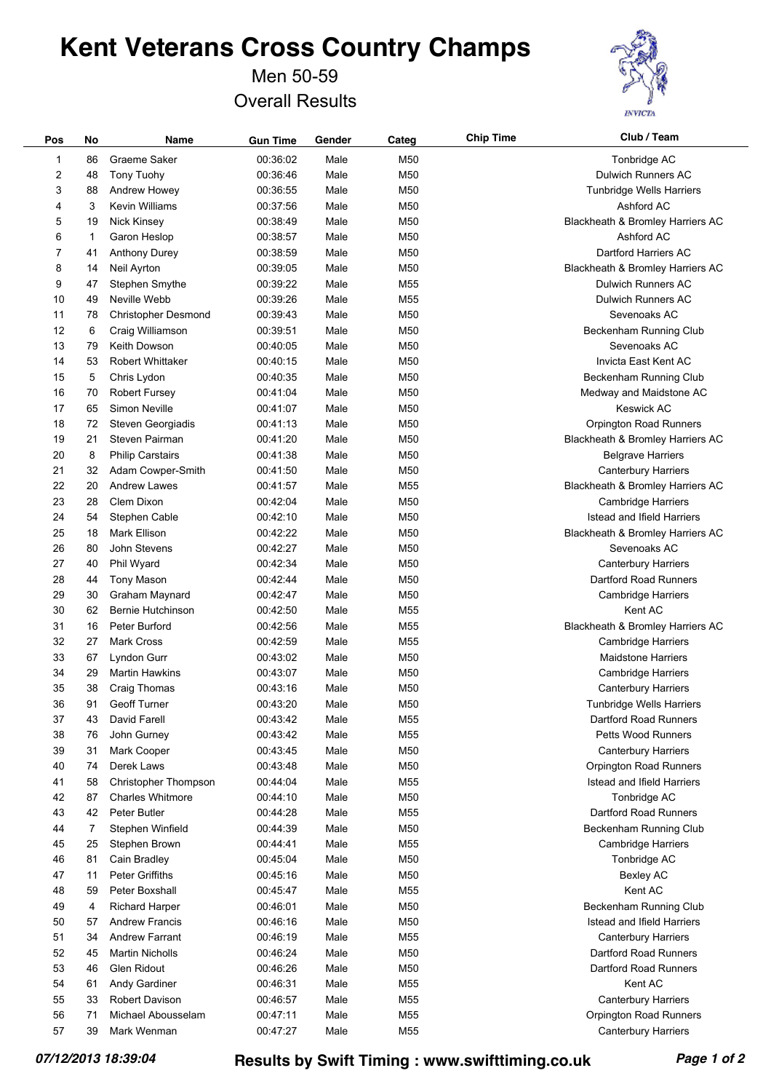Men 50-59 Overall Results



| Pos | No | Name                       | <b>Gun Time</b> | Gender | Categ           | <b>Chip Time</b> | Club / Team                      |
|-----|----|----------------------------|-----------------|--------|-----------------|------------------|----------------------------------|
| 1   | 86 | Graeme Saker               | 00:36:02        | Male   | M50             |                  | Tonbridge AC                     |
| 2   | 48 | Tony Tuohy                 | 00:36:46        | Male   | M50             |                  | <b>Dulwich Runners AC</b>        |
| 3   | 88 | Andrew Howey               | 00:36:55        | Male   | M50             |                  | Tunbridge Wells Harriers         |
| 4   | 3  | Kevin Williams             | 00:37:56        | Male   | M50             |                  | Ashford AC                       |
| 5   | 19 | <b>Nick Kinsey</b>         | 00:38:49        | Male   | M50             |                  | Blackheath & Bromley Harriers AC |
| 6   | 1  | Garon Heslop               | 00:38:57        | Male   | M50             |                  | Ashford AC                       |
| 7   | 41 | Anthony Durey              | 00:38:59        | Male   | M50             |                  | Dartford Harriers AC             |
| 8   | 14 | Neil Ayrton                | 00:39:05        | Male   | M50             |                  | Blackheath & Bromley Harriers AC |
| 9   | 47 | Stephen Smythe             | 00:39:22        | Male   | M <sub>55</sub> |                  | Dulwich Runners AC               |
| 10  | 49 | Neville Webb               | 00:39:26        | Male   | M <sub>55</sub> |                  | <b>Dulwich Runners AC</b>        |
| 11  | 78 | <b>Christopher Desmond</b> | 00:39:43        | Male   | M <sub>50</sub> |                  | Sevenoaks AC                     |
| 12  | 6  | Craig Williamson           | 00:39:51        | Male   | M50             |                  | Beckenham Running Club           |
| 13  | 79 | Keith Dowson               | 00:40:05        | Male   | M50             |                  | Sevenoaks AC                     |
| 14  | 53 | <b>Robert Whittaker</b>    | 00:40:15        | Male   | M50             |                  | Invicta East Kent AC             |
| 15  | 5  | Chris Lydon                | 00:40:35        | Male   | M50             |                  | Beckenham Running Club           |
| 16  | 70 | <b>Robert Fursey</b>       | 00:41:04        | Male   | M50             |                  | Medway and Maidstone AC          |
| 17  | 65 | Simon Neville              | 00:41:07        | Male   | M <sub>50</sub> |                  | <b>Keswick AC</b>                |
| 18  | 72 | Steven Georgiadis          | 00:41:13        | Male   | M <sub>50</sub> |                  | Orpington Road Runners           |
| 19  | 21 | Steven Pairman             | 00:41:20        | Male   | M <sub>50</sub> |                  | Blackheath & Bromley Harriers AC |
| 20  | 8  | <b>Philip Carstairs</b>    | 00:41:38        | Male   | M <sub>50</sub> |                  | <b>Belgrave Harriers</b>         |
| 21  | 32 | Adam Cowper-Smith          | 00:41:50        | Male   | M50             |                  | Canterbury Harriers              |
| 22  | 20 | <b>Andrew Lawes</b>        | 00:41:57        | Male   | M <sub>55</sub> |                  | Blackheath & Bromley Harriers AC |
| 23  | 28 | Clem Dixon                 | 00:42:04        | Male   | M50             |                  | Cambridge Harriers               |
| 24  | 54 | Stephen Cable              | 00:42:10        | Male   | M50             |                  | Istead and Ifield Harriers       |
| 25  | 18 | Mark Ellison               | 00:42:22        | Male   | M50             |                  | Blackheath & Bromley Harriers AC |
| 26  | 80 | John Stevens               | 00:42:27        | Male   | M50             |                  | Sevenoaks AC                     |
| 27  | 40 | Phil Wyard                 | 00:42:34        | Male   | M50             |                  | <b>Canterbury Harriers</b>       |
| 28  | 44 | <b>Tony Mason</b>          | 00:42:44        | Male   | M50             |                  | Dartford Road Runners            |
| 29  | 30 | Graham Maynard             | 00:42:47        | Male   | M50             |                  | Cambridge Harriers               |
| 30  | 62 | Bernie Hutchinson          | 00:42:50        | Male   | M <sub>55</sub> |                  | Kent AC                          |
| 31  | 16 | Peter Burford              | 00:42:56        | Male   | M <sub>55</sub> |                  | Blackheath & Bromley Harriers AC |
| 32  | 27 | <b>Mark Cross</b>          | 00:42:59        | Male   | M <sub>55</sub> |                  | Cambridge Harriers               |
| 33  | 67 | Lyndon Gurr                | 00:43:02        | Male   | M50             |                  | <b>Maidstone Harriers</b>        |
| 34  | 29 | <b>Martin Hawkins</b>      | 00:43:07        | Male   | M <sub>50</sub> |                  | Cambridge Harriers               |
| 35  | 38 | Craig Thomas               | 00:43:16        | Male   | M50             |                  | Canterbury Harriers              |
| 36  | 91 | <b>Geoff Turner</b>        | 00:43:20        | Male   | M50             |                  | <b>Tunbridge Wells Harriers</b>  |
| 37  | 43 | David Farell               | 00:43:42        | Male   | M55             |                  | Dartford Road Runners            |
| 38  | 76 | John Gurney                | 00:43:42        | Male   | M55             |                  | <b>Petts Wood Runners</b>        |
| 39  | 31 | Mark Cooper                | 00:43:45        | Male   | M50             |                  | <b>Canterbury Harriers</b>       |
| 40  | 74 | Derek Laws                 | 00:43:48        | Male   | M50             |                  | Orpington Road Runners           |
| 41  | 58 | Christopher Thompson       | 00:44:04        | Male   | M55             |                  | Istead and Ifield Harriers       |
| 42  | 87 | <b>Charles Whitmore</b>    | 00:44:10        | Male   | M50             |                  | Tonbridge AC                     |
| 43  | 42 | Peter Butler               | 00:44:28        | Male   | M55             |                  | Dartford Road Runners            |
| 44  | 7  | Stephen Winfield           | 00:44:39        | Male   | M50             |                  | Beckenham Running Club           |
| 45  | 25 | Stephen Brown              | 00:44:41        | Male   | M55             |                  | <b>Cambridge Harriers</b>        |
| 46  | 81 | Cain Bradley               | 00:45:04        | Male   | M50             |                  | Tonbridge AC                     |
| 47  | 11 | Peter Griffiths            | 00:45:16        | Male   | M50             |                  | Bexley AC                        |
| 48  | 59 | Peter Boxshall             | 00:45:47        | Male   | M55             |                  | Kent AC                          |
| 49  | 4  | Richard Harper             | 00:46:01        | Male   | M50             |                  | Beckenham Running Club           |
| 50  | 57 | <b>Andrew Francis</b>      | 00:46:16        | Male   | M50             |                  | Istead and Ifield Harriers       |
| 51  | 34 | Andrew Farrant             | 00:46:19        | Male   | M55             |                  | <b>Canterbury Harriers</b>       |
| 52  | 45 | <b>Martin Nicholls</b>     | 00:46:24        | Male   | M50             |                  | Dartford Road Runners            |
| 53  | 46 | Glen Ridout                | 00:46:26        | Male   | M50             |                  | Dartford Road Runners            |
| 54  | 61 | Andy Gardiner              | 00:46:31        | Male   | M55             |                  | Kent AC                          |
| 55  | 33 | Robert Davison             | 00:46:57        | Male   | M55             |                  | <b>Canterbury Harriers</b>       |
| 56  | 71 | Michael Abousselam         | 00:47:11        | Male   | M55             |                  | Orpington Road Runners           |
| 57  | 39 | Mark Wenman                | 00:47:27        | Male   | M55             |                  | <b>Canterbury Harriers</b>       |

*07/12/2013 18:39:04* **Results by Swift Timing : www.swifttiming.co.uk** *Page 1 of 2*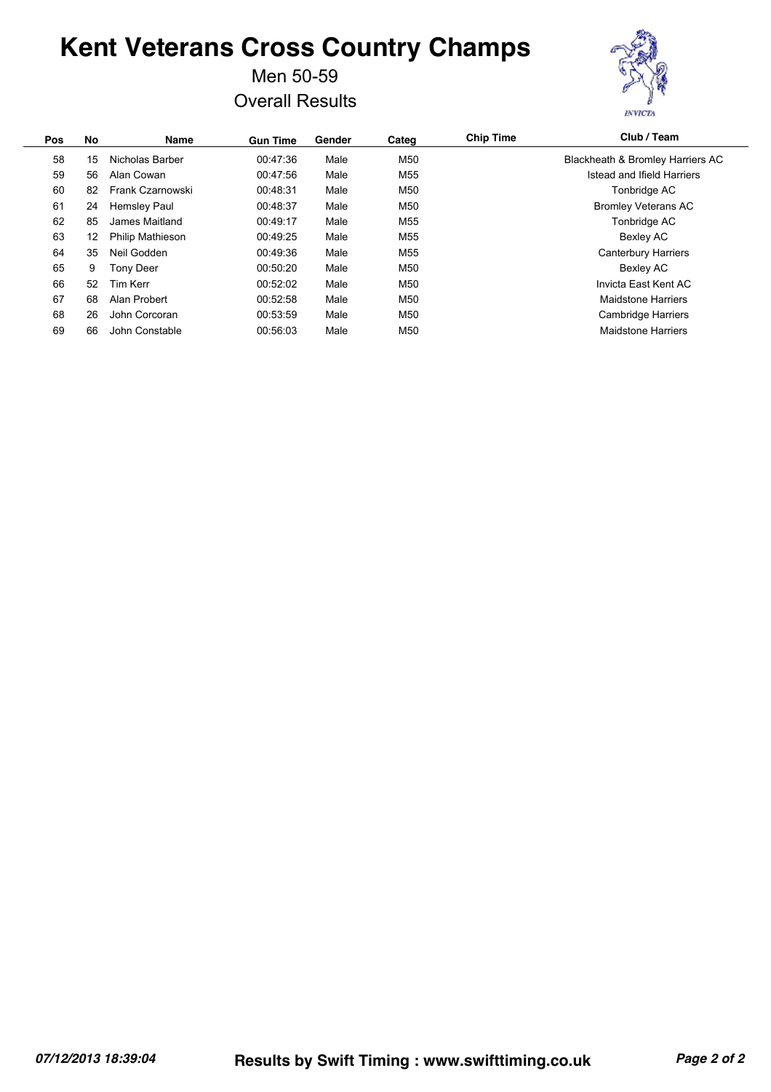Men 50-59 Overall Results



| No | Name                    | <b>Gun Time</b> | Gender | Categ           | <b>Chip Time</b> | Club / Team                      |
|----|-------------------------|-----------------|--------|-----------------|------------------|----------------------------------|
| 15 | Nicholas Barber         | 00:47:36        | Male   | M50             |                  | Blackheath & Bromley Harriers AC |
| 56 | Alan Cowan              | 00:47:56        | Male   | M <sub>55</sub> |                  | Istead and Ifield Harriers       |
| 82 | Frank Czarnowski        | 00:48:31        | Male   | M50             |                  | Tonbridge AC                     |
| 24 | <b>Hemsley Paul</b>     | 00:48:37        | Male   | M50             |                  | <b>Bromley Veterans AC</b>       |
| 85 | James Maitland          | 00:49:17        | Male   | M <sub>55</sub> |                  | Tonbridge AC                     |
| 12 | <b>Philip Mathieson</b> | 00:49:25        | Male   | M <sub>55</sub> |                  | Bexley AC                        |
| 35 | Neil Godden             | 00:49:36        | Male   | M <sub>55</sub> |                  | <b>Canterbury Harriers</b>       |
| 9  | Tonv Deer               | 00:50:20        | Male   | M50             |                  | Bexley AC                        |
| 52 | Tim Kerr                | 00:52:02        | Male   | M50             |                  | Invicta East Kent AC             |
| 68 | Alan Probert            | 00:52:58        | Male   | M50             |                  | <b>Maidstone Harriers</b>        |
| 26 | John Corcoran           | 00:53:59        | Male   | M50             |                  | <b>Cambridge Harriers</b>        |
| 66 | John Constable          | 00:56:03        | Male   | M50             |                  | <b>Maidstone Harriers</b>        |
|    |                         |                 |        |                 |                  |                                  |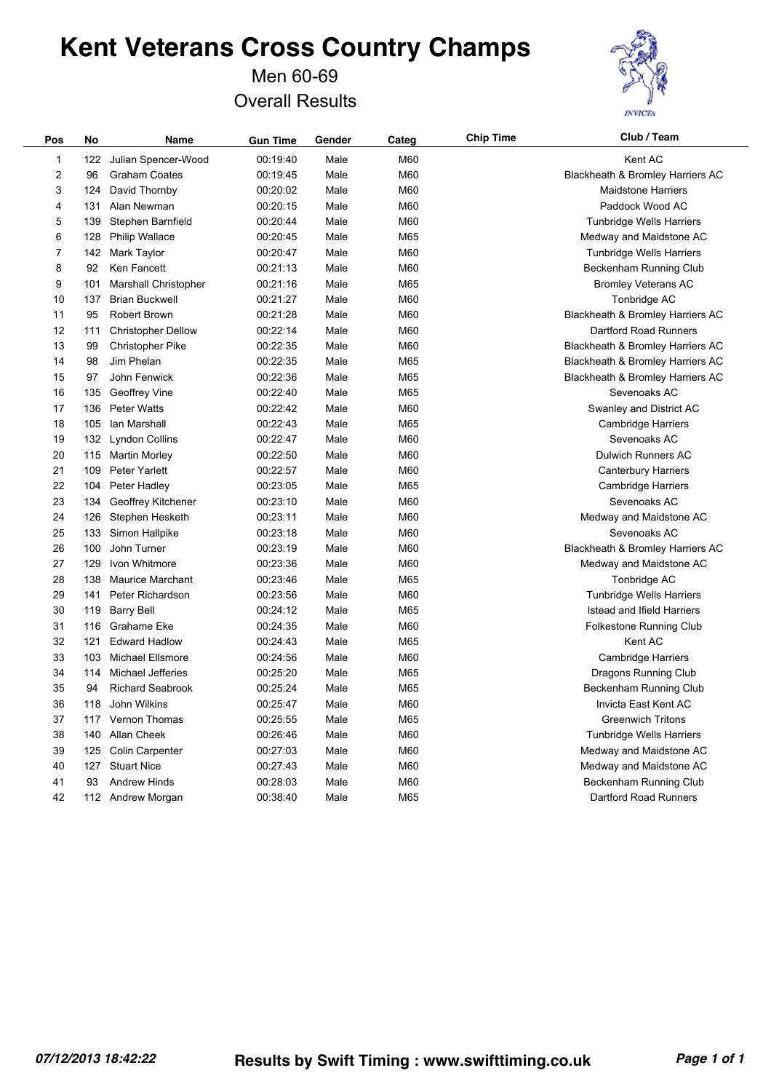Men 60-69 Overall Results



| Pos | No  | Name                      | <b>Gun Time</b> | Gender | Categ | <b>Chip Time</b> | Club / Team                      |
|-----|-----|---------------------------|-----------------|--------|-------|------------------|----------------------------------|
| 1   | 122 | Julian Spencer-Wood       | 00:19:40        | Male   | M60   |                  | Kent AC                          |
| 2   | 96  | <b>Graham Coates</b>      | 00:19:45        | Male   | M60   |                  | Blackheath & Bromley Harriers AC |
| 3   | 124 | David Thornby             | 00:20:02        | Male   | M60   |                  | <b>Maidstone Harriers</b>        |
| 4   | 131 | Alan Newman               | 00:20:15        | Male   | M60   |                  | Paddock Wood AC                  |
| 5   | 139 | Stephen Barnfield         | 00:20:44        | Male   | M60   |                  | <b>Tunbridge Wells Harriers</b>  |
| 6   | 128 | <b>Philip Wallace</b>     | 00:20:45        | Male   | M65   |                  | Medway and Maidstone AC          |
| 7   | 142 | Mark Taylor               | 00:20:47        | Male   | M60   |                  | <b>Tunbridge Wells Harriers</b>  |
| 8   | 92  | Ken Fancett               | 00:21:13        | Male   | M60   |                  | Beckenham Running Club           |
| 9   | 101 | Marshall Christopher      | 00:21:16        | Male   | M65   |                  | <b>Bromley Veterans AC</b>       |
| 10  | 137 | <b>Brian Buckwell</b>     | 00:21:27        | Male   | M60   |                  | Tonbridge AC                     |
| 11  | 95  | <b>Robert Brown</b>       | 00:21:28        | Male   | M60   |                  | Blackheath & Bromley Harriers AC |
| 12  | 111 | <b>Christopher Dellow</b> | 00:22:14        | Male   | M60   |                  | Dartford Road Runners            |
| 13  | 99  | <b>Christopher Pike</b>   | 00:22:35        | Male   | M60   |                  | Blackheath & Bromley Harriers AC |
| 14  | 98  | Jim Phelan                | 00:22:35        | Male   | M65   |                  | Blackheath & Bromley Harriers AC |
| 15  | 97  | John Fenwick              | 00:22:36        | Male   | M65   |                  | Blackheath & Bromley Harriers AC |
| 16  | 135 | Geoffrey Vine             | 00:22:40        | Male   | M65   |                  | Sevenoaks AC                     |
| 17  | 136 | <b>Peter Watts</b>        | 00:22:42        | Male   | M60   |                  | Swanley and District AC          |
| 18  | 105 | lan Marshall              | 00:22:43        | Male   | M65   |                  | <b>Cambridge Harriers</b>        |
| 19  | 132 | Lyndon Collins            | 00:22:47        | Male   | M60   |                  | Sevenoaks AC                     |
| 20  | 115 | <b>Martin Morley</b>      | 00:22:50        | Male   | M60   |                  | Dulwich Runners AC               |
| 21  | 109 | <b>Peter Yarlett</b>      | 00:22:57        | Male   | M60   |                  | <b>Canterbury Harriers</b>       |
| 22  | 104 | Peter Hadley              | 00:23:05        | Male   | M65   |                  | <b>Cambridge Harriers</b>        |
| 23  | 134 | Geoffrey Kitchener        | 00:23:10        | Male   | M60   |                  | Sevenoaks AC                     |
| 24  | 126 | Stephen Hesketh           | 00:23:11        | Male   | M60   |                  | Medway and Maidstone AC          |
| 25  | 133 | Simon Hallpike            | 00:23:18        | Male   | M60   |                  | Sevenoaks AC                     |
| 26  | 100 | John Turner               | 00:23:19        | Male   | M60   |                  | Blackheath & Bromley Harriers AC |
| 27  | 129 | Ivon Whitmore             | 00:23:36        | Male   | M60   |                  | Medway and Maidstone AC          |
| 28  | 138 | <b>Maurice Marchant</b>   | 00:23:46        | Male   | M65   |                  | Tonbridge AC                     |
| 29  | 141 | Peter Richardson          | 00:23:56        | Male   | M60   |                  | Tunbridge Wells Harriers         |
| 30  | 119 | <b>Barry Bell</b>         | 00:24:12        | Male   | M65   |                  | Istead and Ifield Harriers       |
| 31  | 116 | Grahame Eke               | 00:24:35        | Male   | M60   |                  | Folkestone Running Club          |
| 32  | 121 | <b>Edward Hadlow</b>      | 00:24:43        | Male   | M65   |                  | Kent AC                          |
| 33  | 103 | Michael Ellsmore          | 00:24:56        | Male   | M60   |                  | Cambridge Harriers               |
| 34  | 114 | Michael Jefferies         | 00:25:20        | Male   | M65   |                  | Dragons Running Club             |
| 35  | 94  | <b>Richard Seabrook</b>   | 00:25:24        | Male   | M65   |                  | Beckenham Running Club           |
| 36  | 118 | John Wilkins              | 00:25:47        | Male   | M60   |                  | Invicta East Kent AC             |
| 37  | 117 | Vernon Thomas             | 00:25:55        | Male   | M65   |                  | <b>Greenwich Tritons</b>         |
| 38  | 140 | Allan Cheek               | 00:26:46        | Male   | M60   |                  | Tunbridge Wells Harriers         |
| 39  | 125 | Colin Carpenter           | 00:27:03        | Male   | M60   |                  | Medway and Maidstone AC          |
| 40  | 127 | <b>Stuart Nice</b>        | 00:27:43        | Male   | M60   |                  | Medway and Maidstone AC          |
| 41  | 93  | <b>Andrew Hinds</b>       | 00:28:03        | Male   | M60   |                  | Beckenham Running Club           |
| 42  |     | 112 Andrew Morgan         | 00:38:40        | Male   | M65   |                  | Dartford Road Runners            |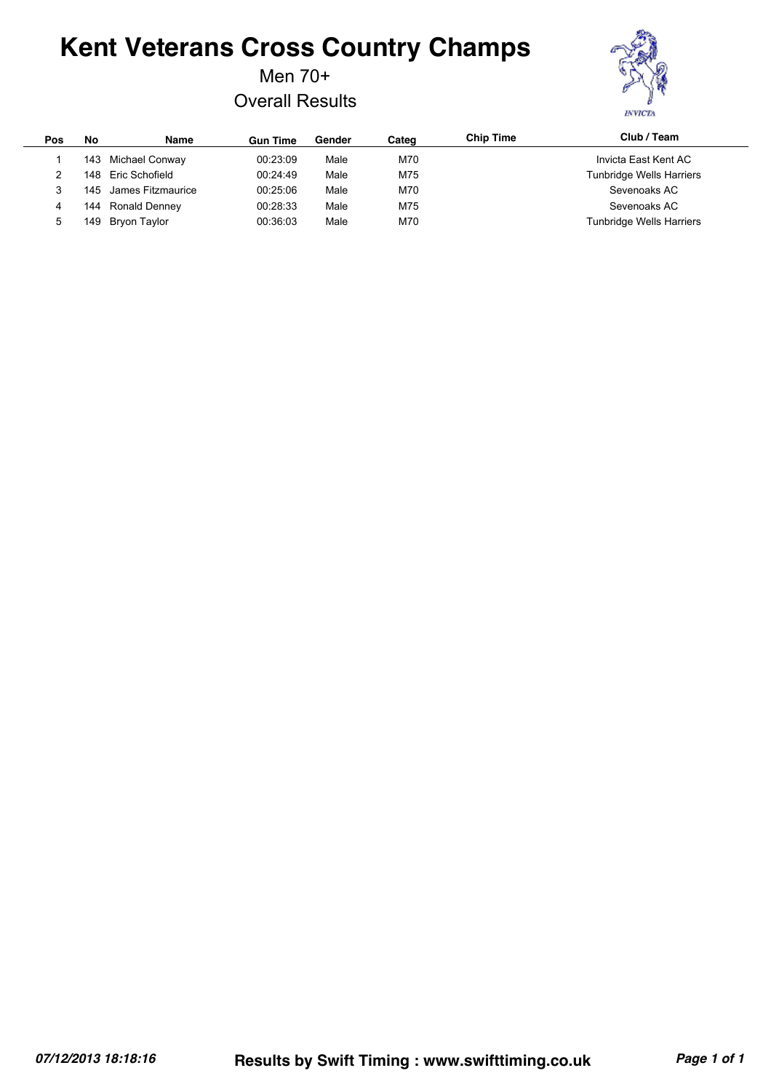Men 70+

Overall Results



| Pos | No  | <b>Name</b>           | <b>Gun Time</b> | Gender | Categ | <b>Chip Time</b> | Club / Team              |
|-----|-----|-----------------------|-----------------|--------|-------|------------------|--------------------------|
|     |     | 143 Michael Conway    | 00:23:09        | Male   | M70   |                  | Invicta East Kent AC     |
|     | 148 | Eric Schofield        | 00:24:49        | Male   | M75   |                  | Tunbridge Wells Harriers |
|     |     | 145 James Fitzmaurice | 00:25:06        | Male   | M70   |                  | Sevenoaks AC             |
| 4   | 144 | <b>Ronald Denney</b>  | 00:28:33        | Male   | M75   |                  | Sevenoaks AC             |
| 5   | 149 | Bryon Taylor          | 00:36:03        | Male   | M70   |                  | Tunbridge Wells Harriers |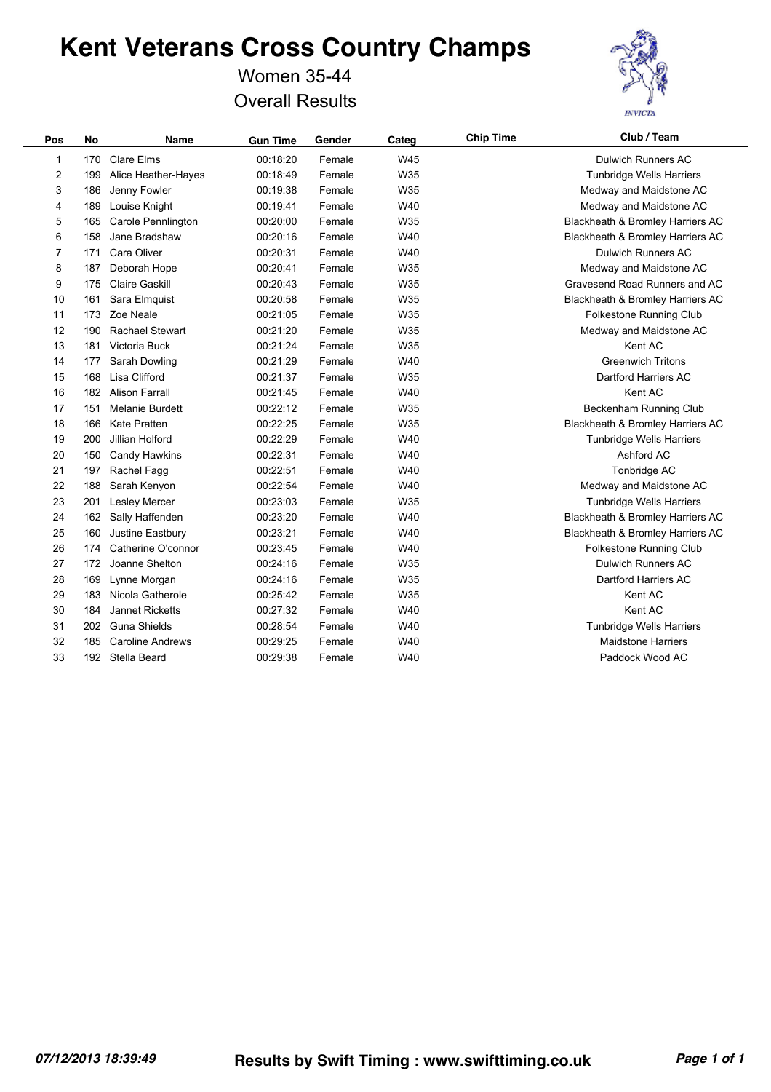### Women 35-44 Overall Results



| Pos            | No  | <b>Name</b>             | <b>Gun Time</b> | Gender | Categ | <b>Chip Time</b> | Club / Team                      |
|----------------|-----|-------------------------|-----------------|--------|-------|------------------|----------------------------------|
| 1              | 170 | <b>Clare Elms</b>       | 00:18:20        | Female | W45   |                  | <b>Dulwich Runners AC</b>        |
| $\overline{c}$ | 199 | Alice Heather-Hayes     | 00:18:49        | Female | W35   |                  | Tunbridge Wells Harriers         |
| 3              | 186 | Jenny Fowler            | 00:19:38        | Female | W35   |                  | Medway and Maidstone AC          |
| 4              | 189 | Louise Knight           | 00:19:41        | Female | W40   |                  | Medway and Maidstone AC          |
| 5              | 165 | Carole Pennlington      | 00:20:00        | Female | W35   |                  | Blackheath & Bromley Harriers AC |
| 6              | 158 | Jane Bradshaw           | 00:20:16        | Female | W40   |                  | Blackheath & Bromley Harriers AC |
| 7              | 171 | Cara Oliver             | 00:20:31        | Female | W40   |                  | <b>Dulwich Runners AC</b>        |
| 8              | 187 | Deborah Hope            | 00:20:41        | Female | W35   |                  | Medway and Maidstone AC          |
| 9              | 175 | <b>Claire Gaskill</b>   | 00:20:43        | Female | W35   |                  | Gravesend Road Runners and AC    |
| 10             | 161 | Sara Elmquist           | 00:20:58        | Female | W35   |                  | Blackheath & Bromley Harriers AC |
| 11             | 173 | Zoe Neale               | 00:21:05        | Female | W35   |                  | Folkestone Running Club          |
| 12             | 190 | <b>Rachael Stewart</b>  | 00:21:20        | Female | W35   |                  | Medway and Maidstone AC          |
| 13             | 181 | Victoria Buck           | 00:21:24        | Female | W35   |                  | Kent AC                          |
| 14             | 177 | Sarah Dowling           | 00:21:29        | Female | W40   |                  | <b>Greenwich Tritons</b>         |
| 15             | 168 | Lisa Clifford           | 00:21:37        | Female | W35   |                  | Dartford Harriers AC             |
| 16             |     | 182 Alison Farrall      | 00:21:45        | Female | W40   |                  | Kent AC                          |
| 17             | 151 | <b>Melanie Burdett</b>  | 00:22:12        | Female | W35   |                  | Beckenham Running Club           |
| 18             | 166 | <b>Kate Pratten</b>     | 00:22:25        | Female | W35   |                  | Blackheath & Bromley Harriers AC |
| 19             | 200 | Jillian Holford         | 00:22:29        | Female | W40   |                  | <b>Tunbridge Wells Harriers</b>  |
| 20             | 150 | Candy Hawkins           | 00:22:31        | Female | W40   |                  | Ashford AC                       |
| 21             | 197 | Rachel Fagg             | 00:22:51        | Female | W40   |                  | Tonbridge AC                     |
| 22             | 188 | Sarah Kenyon            | 00:22:54        | Female | W40   |                  | Medway and Maidstone AC          |
| 23             | 201 | <b>Lesley Mercer</b>    | 00:23:03        | Female | W35   |                  | <b>Tunbridge Wells Harriers</b>  |
| 24             | 162 | Sally Haffenden         | 00:23:20        | Female | W40   |                  | Blackheath & Bromley Harriers AC |
| 25             | 160 | Justine Eastbury        | 00:23:21        | Female | W40   |                  | Blackheath & Bromley Harriers AC |
| 26             | 174 | Catherine O'connor      | 00:23:45        | Female | W40   |                  | <b>Folkestone Running Club</b>   |
| 27             | 172 | Joanne Shelton          | 00:24:16        | Female | W35   |                  | <b>Dulwich Runners AC</b>        |
| 28             | 169 | Lynne Morgan            | 00:24:16        | Female | W35   |                  | Dartford Harriers AC             |
| 29             | 183 | Nicola Gatherole        | 00:25:42        | Female | W35   |                  | Kent AC                          |
| 30             | 184 | Jannet Ricketts         | 00:27:32        | Female | W40   |                  | Kent AC                          |
| 31             | 202 | <b>Guna Shields</b>     | 00:28:54        | Female | W40   |                  | Tunbridge Wells Harriers         |
| 32             | 185 | <b>Caroline Andrews</b> | 00:29:25        | Female | W40   |                  | <b>Maidstone Harriers</b>        |
| 33             |     | 192 Stella Beard        | 00:29:38        | Female | W40   |                  | Paddock Wood AC                  |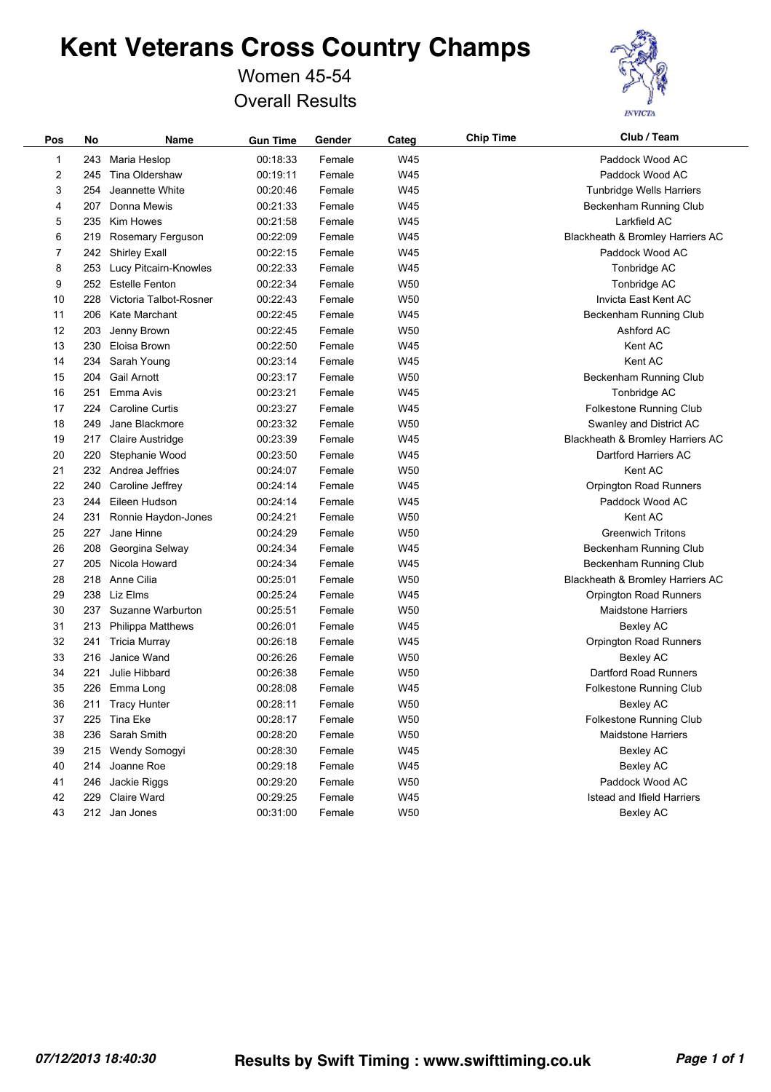### Women 45-54 Overall Results



| Pos | No  | Name                      | <b>Gun Time</b> | Gender | Categ           | <b>Chip Time</b> | Club / Team                      |
|-----|-----|---------------------------|-----------------|--------|-----------------|------------------|----------------------------------|
| 1   | 243 | Maria Heslop              | 00:18:33        | Female | W45             |                  | Paddock Wood AC                  |
| 2   | 245 | Tina Oldershaw            | 00:19:11        | Female | W45             |                  | Paddock Wood AC                  |
| 3   | 254 | Jeannette White           | 00:20:46        | Female | W45             |                  | Tunbridge Wells Harriers         |
| 4   | 207 | Donna Mewis               | 00:21:33        | Female | W45             |                  | Beckenham Running Club           |
| 5   | 235 | Kim Howes                 | 00:21:58        | Female | W45             |                  | Larkfield AC                     |
| 6   | 219 | Rosemary Ferguson         | 00:22:09        | Female | W45             |                  | Blackheath & Bromley Harriers AC |
| 7   | 242 | <b>Shirley Exall</b>      | 00:22:15        | Female | W45             |                  | Paddock Wood AC                  |
| 8   |     | 253 Lucy Pitcairn-Knowles | 00:22:33        | Female | W45             |                  | Tonbridge AC                     |
| 9   | 252 | <b>Estelle Fenton</b>     | 00:22:34        | Female | W <sub>50</sub> |                  | Tonbridge AC                     |
| 10  | 228 | Victoria Talbot-Rosner    | 00:22:43        | Female | W50             |                  | Invicta East Kent AC             |
| 11  | 206 | Kate Marchant             | 00:22:45        | Female | W45             |                  | Beckenham Running Club           |
| 12  | 203 | Jenny Brown               | 00:22:45        | Female | W50             |                  | Ashford AC                       |
| 13  | 230 | Eloisa Brown              | 00:22:50        | Female | W45             |                  | Kent AC                          |
| 14  | 234 | Sarah Young               | 00:23:14        | Female | W45             |                  | Kent AC                          |
| 15  | 204 | <b>Gail Arnott</b>        | 00:23:17        | Female | W50             |                  | Beckenham Running Club           |
| 16  | 251 | Emma Avis                 | 00:23:21        | Female | W45             |                  | Tonbridge AC                     |
| 17  | 224 | <b>Caroline Curtis</b>    | 00:23:27        | Female | W45             |                  | Folkestone Running Club          |
| 18  | 249 | Jane Blackmore            | 00:23:32        | Female | W50             |                  | Swanley and District AC          |
| 19  | 217 | <b>Claire Austridge</b>   | 00:23:39        | Female | W45             |                  | Blackheath & Bromley Harriers AC |
| 20  | 220 | Stephanie Wood            | 00:23:50        | Female | W45             |                  | Dartford Harriers AC             |
| 21  |     | 232 Andrea Jeffries       | 00:24:07        | Female | W50             |                  | Kent AC                          |
| 22  | 240 | Caroline Jeffrey          | 00:24:14        | Female | W45             |                  | Orpington Road Runners           |
| 23  | 244 | Eileen Hudson             | 00:24:14        | Female | W45             |                  | Paddock Wood AC                  |
| 24  | 231 | Ronnie Haydon-Jones       | 00:24:21        | Female | W50             |                  | Kent AC                          |
| 25  | 227 | Jane Hinne                | 00:24:29        | Female | W50             |                  | <b>Greenwich Tritons</b>         |
| 26  | 208 | Georgina Selway           | 00:24:34        | Female | W45             |                  | Beckenham Running Club           |
| 27  | 205 | Nicola Howard             | 00:24:34        | Female | W45             |                  | Beckenham Running Club           |
| 28  |     | 218 Anne Cilia            | 00:25:01        | Female | W50             |                  | Blackheath & Bromley Harriers AC |
| 29  |     | 238 Liz Elms              | 00:25:24        | Female | W45             |                  | Orpington Road Runners           |
| 30  | 237 | Suzanne Warburton         | 00:25:51        | Female | W50             |                  | <b>Maidstone Harriers</b>        |
| 31  |     | 213 Philippa Matthews     | 00:26:01        | Female | W45             |                  | <b>Bexley AC</b>                 |
| 32  | 241 | Tricia Murray             | 00:26:18        | Female | W45             |                  | Orpington Road Runners           |
| 33  | 216 | Janice Wand               | 00:26:26        | Female | W50             |                  | <b>Bexley AC</b>                 |
| 34  | 221 | Julie Hibbard             | 00:26:38        | Female | W50             |                  | Dartford Road Runners            |
| 35  | 226 | Emma Long                 | 00:28:08        | Female | W45             |                  | Folkestone Running Club          |
| 36  |     | 211 Tracy Hunter          | 00:28:11        | Female | W50             |                  | <b>Bexley AC</b>                 |
| 37  |     | 225 Tina Eke              | 00:28:17        | Female | W50             |                  | Folkestone Running Club          |
| 38  | 236 | Sarah Smith               | 00:28:20        | Female | W50             |                  | <b>Maidstone Harriers</b>        |
| 39  |     | 215 Wendy Somogyi         | 00:28:30        | Female | W45             |                  | Bexley AC                        |
| 40  | 214 | Joanne Roe                | 00:29:18        | Female | W45             |                  | Bexley AC                        |
| 41  | 246 | Jackie Riggs              | 00:29:20        | Female | W50             |                  | Paddock Wood AC                  |
| 42  | 229 | Claire Ward               | 00:29:25        | Female | W45             |                  | Istead and Ifield Harriers       |
| 43  |     | 212 Jan Jones             | 00:31:00        | Female | W50             |                  | Bexley AC                        |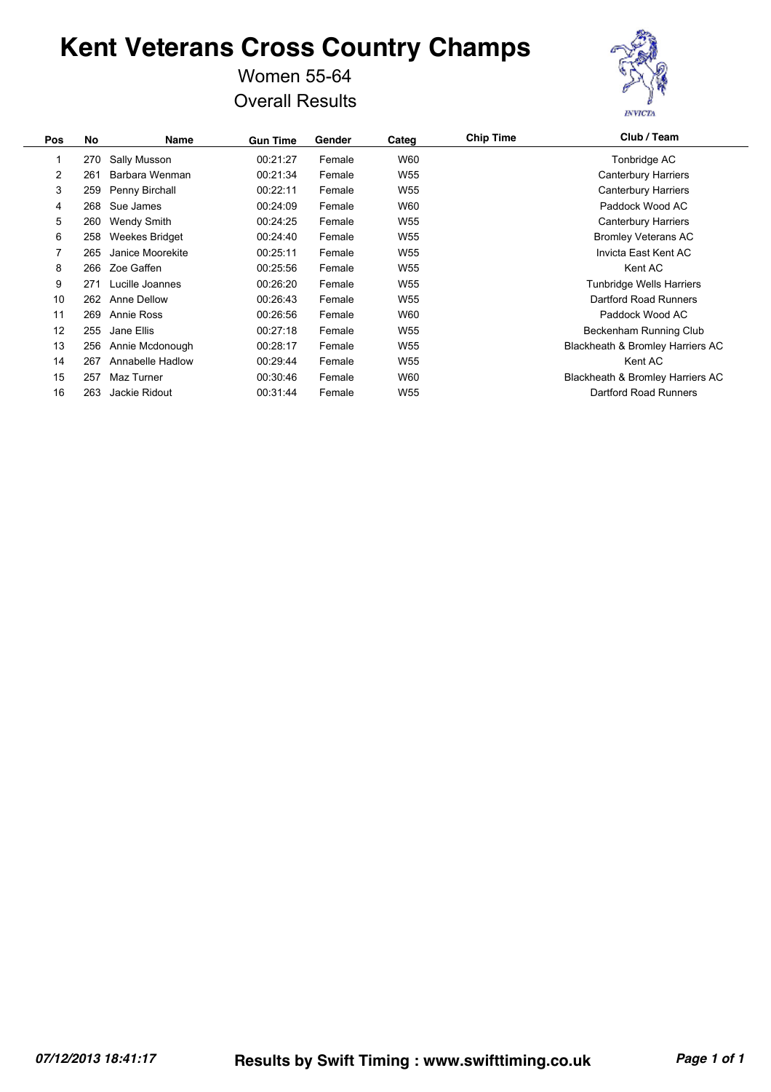#### Women 55-64 Overall Results



| Pos            | No  | <b>Name</b>        | <b>Gun Time</b> | Gender | Categ           | <b>Chip Time</b> | Club / Team                      |
|----------------|-----|--------------------|-----------------|--------|-----------------|------------------|----------------------------------|
|                | 270 | Sally Musson       | 00:21:27        | Female | W60             |                  | Tonbridge AC                     |
| $\overline{2}$ | 261 | Barbara Wenman     | 00:21:34        | Female | W <sub>55</sub> |                  | Canterbury Harriers              |
| 3              | 259 | Penny Birchall     | 00:22:11        | Female | W <sub>55</sub> |                  | <b>Canterbury Harriers</b>       |
| 4              | 268 | Sue James          | 00:24:09        | Female | W60             |                  | Paddock Wood AC                  |
| 5              | 260 | <b>Wendy Smith</b> | 00:24:25        | Female | W55             |                  | <b>Canterbury Harriers</b>       |
| 6              | 258 | Weekes Bridget     | 00:24:40        | Female | W <sub>55</sub> |                  | <b>Bromley Veterans AC</b>       |
| 7              | 265 | Janice Moorekite   | 00:25:11        | Female | W55             |                  | Invicta East Kent AC             |
| 8              | 266 | Zoe Gaffen         | 00:25:56        | Female | W <sub>55</sub> |                  | Kent AC                          |
| 9              | 271 | Lucille Joannes    | 00:26:20        | Female | W <sub>55</sub> |                  | <b>Tunbridge Wells Harriers</b>  |
| 10             | 262 | Anne Dellow        | 00:26:43        | Female | W <sub>55</sub> |                  | Dartford Road Runners            |
| 11             | 269 | Annie Ross         | 00:26:56        | Female | W60             |                  | Paddock Wood AC                  |
| 12             | 255 | Jane Ellis         | 00:27:18        | Female | W <sub>55</sub> |                  | Beckenham Running Club           |
| 13             | 256 | Annie Mcdonough    | 00:28:17        | Female | W55             |                  | Blackheath & Bromley Harriers AC |
| 14             | 267 | Annabelle Hadlow   | 00:29:44        | Female | W <sub>55</sub> |                  | Kent AC                          |
| 15             | 257 | Maz Turner         | 00:30:46        | Female | W60             |                  | Blackheath & Bromley Harriers AC |
| 16             | 263 | Jackie Ridout      | 00:31:44        | Female | W <sub>55</sub> |                  | Dartford Road Runners            |
|                |     |                    |                 |        |                 |                  |                                  |